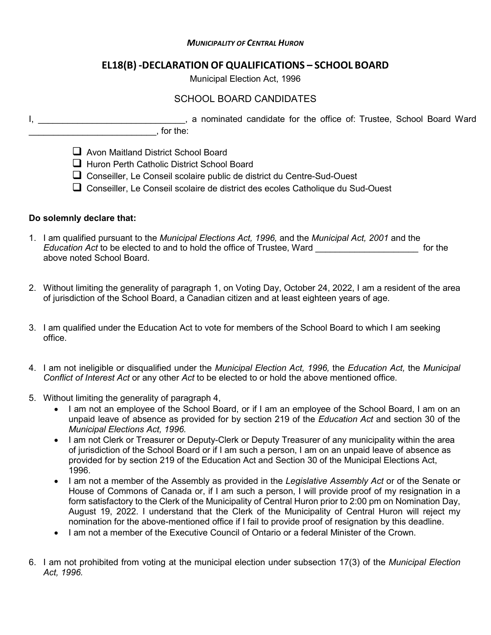## *MUNICIPALITY OF CENTRAL HURON*

## **EL18(B) -DECLARATION OF QUALIFICATIONS – SCHOOL BOARD**

Municipal Election Act, 1996

## SCHOOL BOARD CANDIDATES

I, \_\_\_\_\_\_\_\_\_\_\_\_\_\_\_\_\_\_\_\_\_\_\_\_\_\_\_\_\_\_\_\_, a nominated candidate for the office of: Trustee, School Board Ward  $\blacksquare$   $\blacksquare$  for the:

Avon Maitland District School Board

□ Huron Perth Catholic District School Board

- Conseiller, Le Conseil scolaire public de district du Centre-Sud-Ouest
- $\Box$  Conseiller, Le Conseil scolaire de district des ecoles Catholique du Sud-Ouest

## **Do solemnly declare that:**

- 1. I am qualified pursuant to the *Municipal Elections Act, 1996,* and the *Municipal Act, 2001* and the *Education Act* to be elected to and to hold the office of Trustee, Ward \_\_\_\_\_\_\_\_\_\_\_\_\_\_\_\_\_\_\_\_\_ for the above noted School Board.
- 2. Without limiting the generality of paragraph 1, on Voting Day, October 24, 2022, I am a resident of the area of jurisdiction of the School Board, a Canadian citizen and at least eighteen years of age.
- 3. I am qualified under the Education Act to vote for members of the School Board to which I am seeking office.
- 4. I am not ineligible or disqualified under the *Municipal Election Act, 1996,* the *Education Act,* the *Municipal Conflict of Interest Act* or any other *Act* to be elected to or hold the above mentioned office.
- 5. Without limiting the generality of paragraph 4,
	- I am not an employee of the School Board, or if I am an employee of the School Board, I am on an unpaid leave of absence as provided for by section 219 of the *Education Act* and section 30 of the *Municipal Elections Act, 1996.*
	- I am not Clerk or Treasurer or Deputy-Clerk or Deputy Treasurer of any municipality within the area of jurisdiction of the School Board or if I am such a person, I am on an unpaid leave of absence as provided for by section 219 of the Education Act and Section 30 of the Municipal Elections Act, 1996.
	- I am not a member of the Assembly as provided in the *Legislative Assembly Act* or of the Senate or House of Commons of Canada or, if I am such a person, I will provide proof of my resignation in a form satisfactory to the Clerk of the Municipality of Central Huron prior to 2:00 pm on Nomination Day, August 19, 2022. I understand that the Clerk of the Municipality of Central Huron will reject my nomination for the above-mentioned office if I fail to provide proof of resignation by this deadline.
	- I am not a member of the Executive Council of Ontario or a federal Minister of the Crown.
- 6. I am not prohibited from voting at the municipal election under subsection 17(3) of the *Municipal Election Act, 1996.*